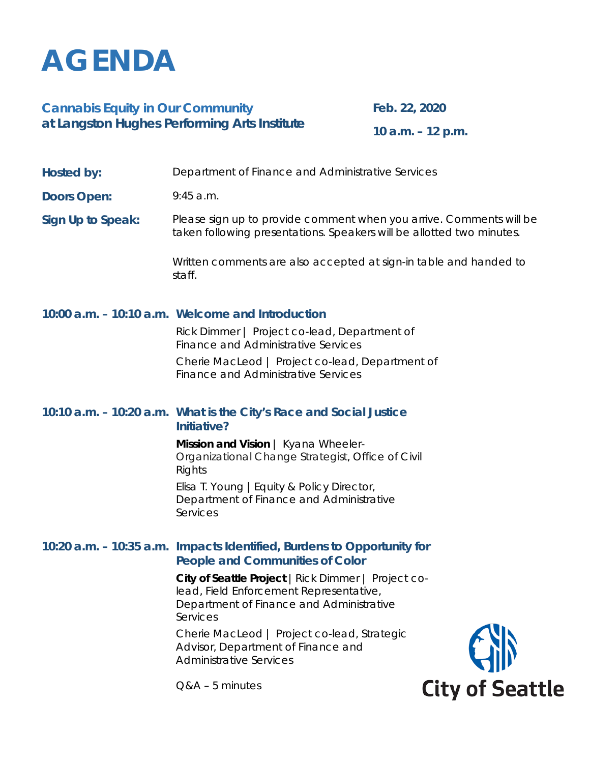# **AGENDA**

### **Cannabis Equity in Our Community at Langston Hughes Performing Arts Institute**

**Feb. 22, 2020**

**10 a.m. – 12 p.m.**

## **Doors Open:** 9:45 a.m. **Sign Up to Speak:** Please sign up to provide comment when you arrive. Comments will be taken following presentations. Speakers will be allotted two minutes. Written comments are also accepted at sign-in table and handed to staff. **10:00 a.m. – 10:10 a.m. Welcome and Introduction** Rick Dimmer | Project co-lead, Department of Finance and Administrative Services Cherie MacLeod | Project co-lead, Department of Finance and Administrative Services **10:10 a.m. – 10:20 a.m. What is the City's Race and Social Justice Initiative? Mission and Vision** | Kyana Wheeler-Organizational Change Strategist, Office of Civil Rights Elisa T. Young |Equity & Policy Director,

**Hosted by:** Department of Finance and Administrative Services

Department of Finance and Administrative Services

#### **10:20 a.m. – 10:35 a.m. Impacts Identified, Burdens to Opportunity for People and Communities of Color**

**City of Seattle Project** | Rick Dimmer | Project colead, Field Enforcement Representative, Department of Finance and Administrative Services

Cherie MacLeod | Project co-lead, Strategic Advisor, Department of Finance and Administrative Services



Q&A – 5 minutes